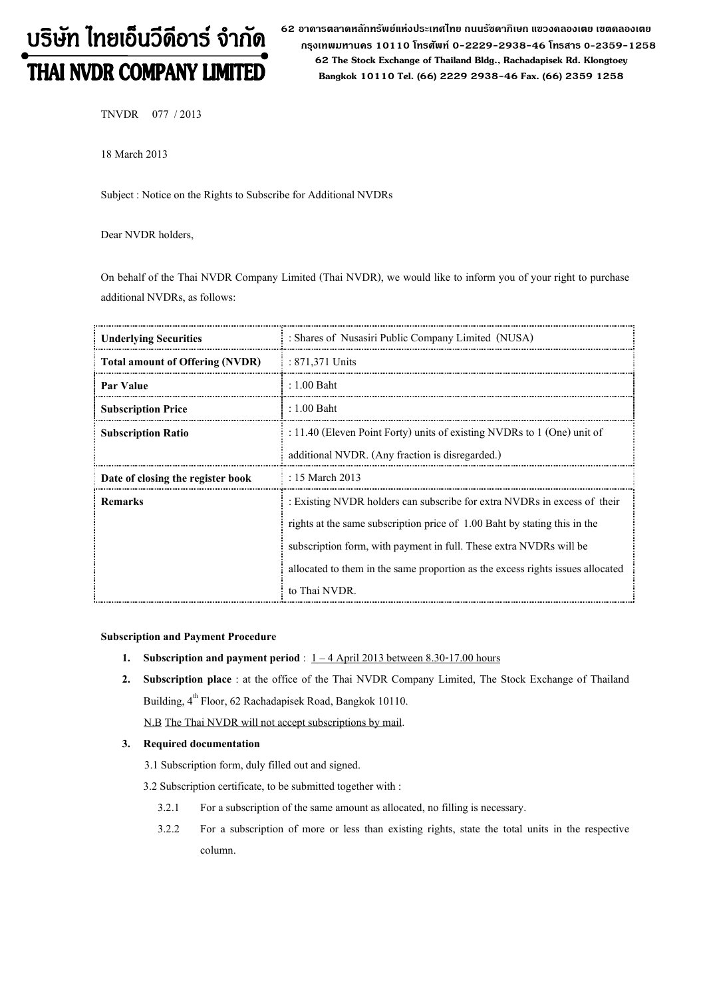# บริษัท ไทยเอ็นวีดีอาร์ จำกัด THAI NVDR COMPANY LIMITED

62 อาดารตลาดหลักทรัพย์แห่งประเทศไทย ถนนรัซดาภิเษก แขวงดลองเตย เขตดลองเตย กรุงเทพมหานดร 10110 โทรศัพท์ 0-2229-2938-46 โทรสาร 0-2359-1258 62 The Stock Exchange of Thailand Bldg., Rachadapisek Rd. Klongtoey Bangkok 10110 Tel. (66) 2229 2938-46 Fax. (66) 2359 1258

TNVDR 077 / 2013

18 March 2013

Subject : Notice on the Rights to Subscribe for Additional NVDRs

Dear NVDR holders,

On behalf of the Thai NVDR Company Limited (Thai NVDR), we would like to inform you of your right to purchase additional NVDRs, as follows:

| <b>Underlying Securities</b>           | : Shares of Nusasiri Public Company Limited (NUSA)                                                                                                                                                                                                                                                                             |
|----------------------------------------|--------------------------------------------------------------------------------------------------------------------------------------------------------------------------------------------------------------------------------------------------------------------------------------------------------------------------------|
| <b>Total amount of Offering (NVDR)</b> | : 871,371 Units                                                                                                                                                                                                                                                                                                                |
| Par Value                              | $: 1.00$ Baht                                                                                                                                                                                                                                                                                                                  |
| <b>Subscription Price</b>              | $: 1.00$ Baht                                                                                                                                                                                                                                                                                                                  |
| <b>Subscription Ratio</b>              | : 11.40 (Eleven Point Forty) units of existing NVDRs to $1$ (One) unit of<br>additional NVDR. (Any fraction is disregarded.)                                                                                                                                                                                                   |
| Date of closing the register book      | : 15 March 2013                                                                                                                                                                                                                                                                                                                |
| <b>Remarks</b>                         | : Existing NVDR holders can subscribe for extra NVDRs in excess of their<br>rights at the same subscription price of 1.00 Baht by stating this in the<br>subscription form, with payment in full. These extra NVDRs will be<br>allocated to them in the same proportion as the excess rights issues allocated<br>to Thai NVDR. |

### Subscription and Payment Procedure

- 1. Subscription and payment period :  $1 4$  April 2013 between 8.30-17.00 hours
- 2. Subscription place : at the office of the Thai NVDR Company Limited, The Stock Exchange of Thailand Building, 4<sup>th</sup> Floor, 62 Rachadapisek Road, Bangkok 10110.

N.B The Thai NVDR will not accept subscriptions by mail.

## 3. Required documentation

- 3.1 Subscription form, duly filled out and signed.
- 3.2 Subscription certificate, to be submitted together with :
	- 3.2.1 For a subscription of the same amount as allocated, no filling is necessary.
	- 3.2.2 For a subscription of more or less than existing rights, state the total units in the respective column.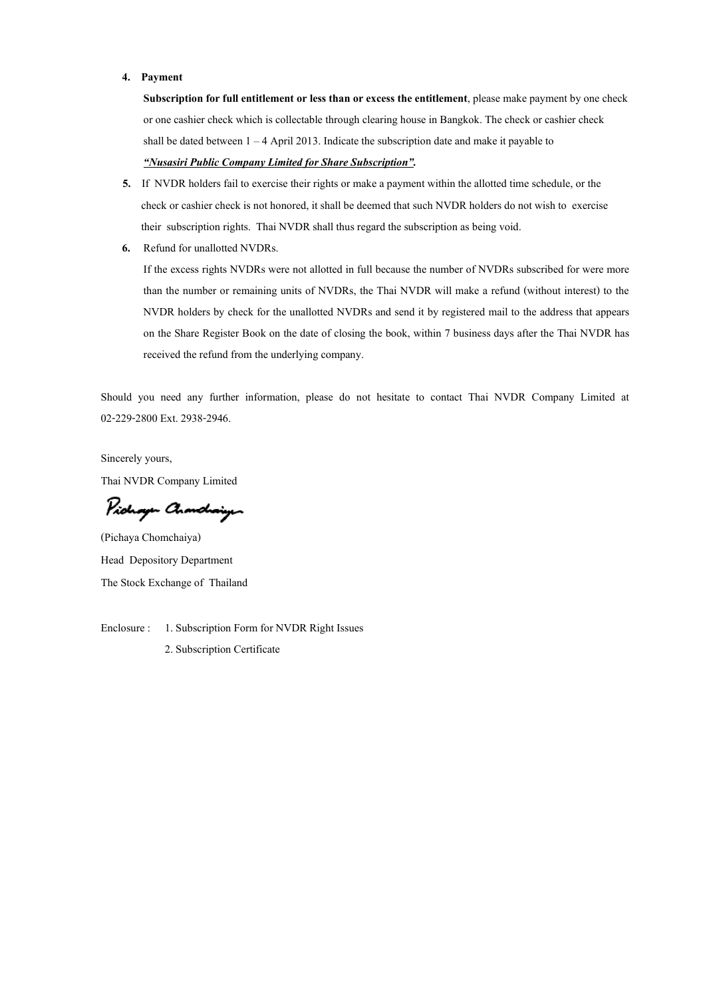#### 4. Payment

Subscription for full entitlement or less than or excess the entitlement, please make payment by one check or one cashier check which is collectable through clearing house in Bangkok. The check or cashier check shall be dated between  $1 - 4$  April 2013. Indicate the subscription date and make it payable to "Nusasiri Public Company Limited for Share Subscription".

- 5. If NVDR holders fail to exercise their rights or make a payment within the allotted time schedule, or the check or cashier check is not honored, it shall be deemed that such NVDR holders do not wish to exercise their subscription rights. Thai NVDR shall thus regard the subscription as being void.
- 6. Refund for unallotted NVDRs.

If the excess rights NVDRs were not allotted in full because the number of NVDRs subscribed for were more than the number or remaining units of NVDRs, the Thai NVDR will make a refund (without interest) to the NVDR holders by check for the unallotted NVDRs and send it by registered mail to the address that appears on the Share Register Book on the date of closing the book, within 7 business days after the Thai NVDR has received the refund from the underlying company.

Should you need any further information, please do not hesitate to contact Thai NVDR Company Limited at 02-229-2800 Ext. 2938-2946.

Sincerely yours, Thai NVDR Company Limited

Pichagen Chanchaigen

(Pichaya Chomchaiya) Head Depository Department The Stock Exchange of Thailand

Enclosure : 1. Subscription Form for NVDR Right Issues

2. Subscription Certificate